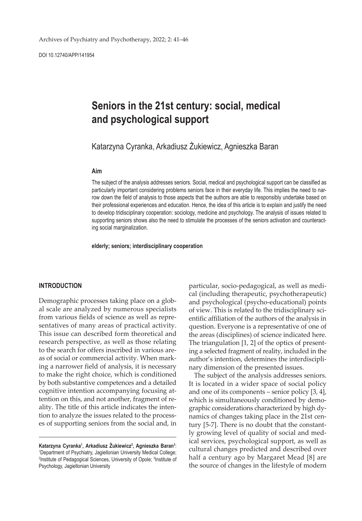DOI 10.12740/APP/141954

# **Seniors in the 21st century: social, medical and psychological support**

Katarzyna Cyranka, Arkadiusz Żukiewicz, Agnieszka Baran

### **Aim**

The subject of the analysis addresses seniors. Social, medical and psychological support can be classified as particularly important considering problems seniors face in their everyday life. This implies the need to narrow down the field of analysis to those aspects that the authors are able to responsibly undertake based on their professional experiences and education. Hence, the idea of this article is to explain and justify the need to develop tridisciplinary cooperation: sociology, medicine and psychology. The analysis of issues related to supporting seniors shows also the need to stimulate the processes of the seniors activation and counteracting social marginalization.

**elderly; seniors; interdisciplinary cooperation**

#### **INTRODUCTION**

Demographic processes taking place on a global scale are analyzed by numerous specialists from various fields of science as well as representatives of many areas of practical activity. This issue can described form theoretical and research perspective, as well as those relating to the search for offers inscribed in various areas of social or commercial activity. When marking a narrower field of analysis, it is necessary to make the right choice, which is conditioned by both substantive competences and a detailed cognitive intention accompanying focusing attention on this, and not another, fragment of reality. The title of this article indicates the intention to analyze the issues related to the processes of supporting seniors from the social and, in

particular, socio-pedagogical, as well as medical (including therapeutic, psychotherapeutic) and psychological (psycho-educational) points of view. This is related to the tridisciplinary scientific affiliation of the authors of the analysis in question. Everyone is a representative of one of the areas (disciplines) of science indicated here. The triangulation [1, 2] of the optics of presenting a selected fragment of reality, included in the author's intention, determines the interdisciplinary dimension of the presented issues.

The subject of the analysis addresses seniors. It is located in a wider space of social policy and one of its components – senior policy [3, 4], which is simultaneously conditioned by demographic considerations characterized by high dynamics of changes taking place in the 21st century [5-7]. There is no doubt that the constantly growing level of quality of social and medical services, psychological support, as well as cultural changes predicted and described over half a century ago by Margaret Mead [8] are the source of changes in the lifestyle of modern

**Katarzyna Cyranka1 , Arkadiusz Żukiewicz<sup>2</sup> , Agnieszka Baran3** : 1 Department of Psychiatry, Jagiellonian University Medical College; <sup>2</sup>Institute of Pedagogical Sciences, University of Opole; <sup>3</sup>Institute of Psychology, Jagiellonian University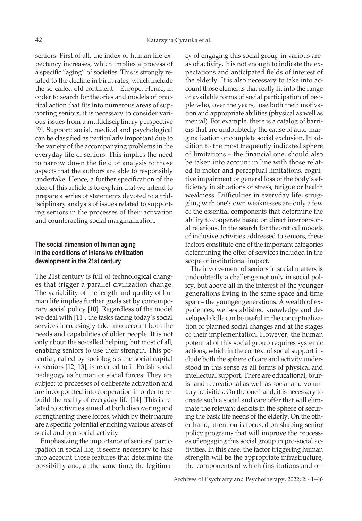seniors. First of all, the index of human life expectancy increases, which implies a process of a specific "aging" of societies. This is strongly related to the decline in birth rates, which include the so-called old continent – Europe. Hence, in order to search for theories and models of practical action that fits into numerous areas of supporting seniors, it is necessary to consider various issues from a multidisciplinary perspective [9]. Support: social, medical and psychological can be classified as particularly important due to the variety of the accompanying problems in the everyday life of seniors. This implies the need to narrow down the field of analysis to those aspects that the authors are able to responsibly undertake. Hence, a further specification of the idea of this article is to explain that we intend to prepare a series of statements devoted to a tridisciplinary analysis of issues related to supporting seniors in the processes of their activation and counteracting social marginalization.

# **The social dimension of human aging in the conditions of intensive civilization development in the 21st century**

The 21st century is full of technological changes that trigger a parallel civilization change. The variability of the length and quality of human life implies further goals set by contemporary social policy [10]. Regardless of the model we deal with [11], the tasks facing today's social services increasingly take into account both the needs and capabilities of older people. It is not only about the so-called helping, but most of all, enabling seniors to use their strength. This potential, called by sociologists the social capital of seniors [12, 13], is referred to in Polish social pedagogy as human or social forces. They are subject to processes of deliberate activation and are incorporated into cooperation in order to rebuild the reality of everyday life [14]. This is related to activities aimed at both discovering and strengthening these forces, which by their nature are a specific potential enriching various areas of social and pro-social activity.

Emphasizing the importance of seniors' participation in social life, it seems necessary to take into account those features that determine the possibility and, at the same time, the legitimacy of engaging this social group in various areas of activity. It is not enough to indicate the expectations and anticipated fields of interest of the elderly. It is also necessary to take into account those elements that really fit into the range of available forms of social participation of people who, over the years, lose both their motivation and appropriate abilities (physical as well as mental). For example, there is a catalog of barriers that are undoubtedly the cause of auto-marginalization or complete social exclusion. In addition to the most frequently indicated sphere of limitations – the financial one, should also be taken into account in line with those related to motor and perceptual limitations, cognitive impairment or general loss of the body's efficiency in situations of stress, fatigue or health weakness. Difficulties in everyday life, struggling with one's own weaknesses are only a few of the essential components that determine the ability to cooperate based on direct interpersonal relations. In the search for theoretical models of inclusive activities addressed to seniors, these factors constitute one of the important categories determining the offer of services included in the scope of institutional impact.

The involvement of seniors in social matters is undoubtedly a challenge not only in social policy, but above all in the interest of the younger generations living in the same space and time span – the younger generations. A wealth of experiences, well-established knowledge and developed skills can be useful in the conceptualization of planned social changes and at the stages of their implementation. However, the human potential of this social group requires systemic actions, which in the context of social support include both the sphere of care and activity understood in this sense as all forms of physical and intellectual support. There are educational, tourist and recreational as well as social and voluntary activities. On the one hand, it is necessary to create such a social and care offer that will eliminate the relevant deficits in the sphere of securing the basic life needs of the elderly. On the other hand, attention is focused on shaping senior policy programs that will improve the processes of engaging this social group in pro-social activities. In this case, the factor triggering human strength will be the appropriate infrastructure, the components of which (institutions and or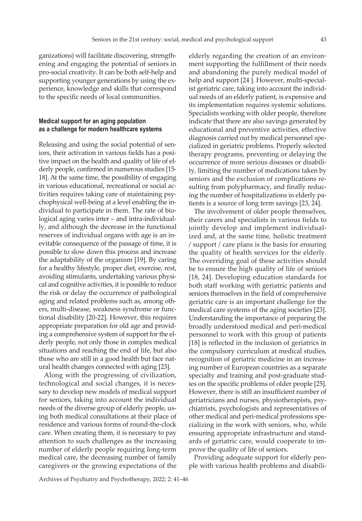ganizations) will facilitate discovering, strengthening and engaging the potential of seniors in pro-social creativity. It can be both self-help and supporting younger generations by using the experience, knowledge and skills that correspond to the specific needs of local communities.

## **Medical support for an aging population as a challenge for modern healthcare systems**

Releasing and using the social potential of seniors, their activation in various fields has a positive impact on the health and quality of life of elderly people, confirmed in numerous studies [15- 18]. At the same time, the possibility of engaging in various educational, recreational or social activities requires taking care of maintaining psychophysical well-being at a level enabling the individual to participate in them. The rate of biological aging varies inter – and intra-individually, and although the decrease in the functional reserves of individual organs with age is an inevitable consequence of the passage of time, it is possible to slow down this process and increase the adaptability of the organism [19]. By caring for a healthy lifestyle, proper diet, exercise, rest, avoiding stimulants, undertaking various physical and cognitive activities, it is possible to reduce the risk or delay the occurrence of pathological aging and related problems such as, among others, multi-disease, weakness syndrome or functional disability [20-22]. However, this requires appropriate preparation for old age and providing a comprehensive system of support for the elderly people, not only those in complex medical situations and reaching the end of life, but also those who are still in a good health but face natural health changes connected with aging [23].

Along with the progressing of civilization, technological and social changes, it is necessary to develop new models of medical support for seniors, taking into account the individual needs of the diverse group of elderly people, using both medical consultations at their place of residence and various forms of round-the-clock care. When creating them, it is necessary to pay attention to such challenges as the increasing number of elderly people requiring long-term medical care, the decreasing number of family caregivers or the growing expectations of the

elderly regarding the creation of an environment supporting the fulfillment of their needs and abandoning the purely medical model of help and support [24 ]. However, multi-specialist geriatric care, taking into account the individual needs of an elderly patient, is expensive and its implementation requires systemic solutions. Specialists working with older people, therefore indicate that there are also savings generated by educational and preventive activities, effective diagnosis carried out by medical personnel specialized in geriatric problems. Properly selected therapy programs, preventing or delaying the occurrence of more serious diseases or disability, limiting the number of medications taken by seniors and the exclusion of complications resulting from polypharmacy, and finally reducing the number of hospitalizations in elderly patients is a source of long term savings [23, 24].

The involvement of older people themselves, their carers and specialists in various fields to jointly develop and implement individualized and, at the same time, holistic treatment / support / care plans is the basis for ensuring the quality of health services for the elderly. The overriding goal of these activities should be to ensure the high quality of life of seniors [18, 24]. Developing education standards for both staff working with geriatric patients and seniors themselves in the field of comprehensive geriatric care is an important challenge for the medical care systems of the aging societies [23]. Understanding the importance of preparing the broadly understood medical and peri-medical personnel to work with this group of patients [18] is reflected in the inclusion of geriatrics in the compulsory curriculum at medical studies, recognition of geriatric medicine in an increasing number of European countries as a separate specialty and training and post-graduate studies on the specific problems of older people [25]. However, there is still an insufficient number of geriatricians and nurses, physiotherapists, psychiatrists, psychologists and representatives of other medical and peri-medical professions specializing in the work with seniors, who, while ensuring appropriate infrastructure and standards of geriatric care, would cooperate to improve the quality of life of seniors.

Providing adequate support for elderly people with various health problems and disabili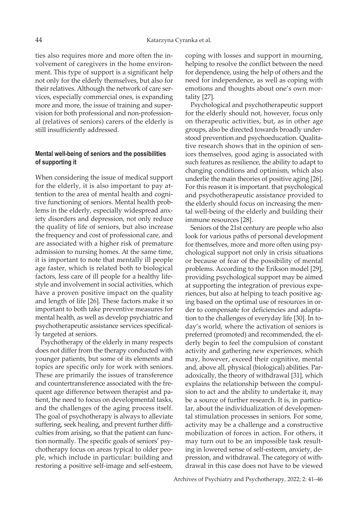ties also requires more and more often the involvement of caregivers in the home environment. This type of support is a significant help not only for the elderly themselves, but also for their relatives. Although the network of care services, especially commercial ones, is expanding more and more, the issue of training and supervision for both professional and non-professional (relatives of seniors) carers of the elderly is still insufficiently addressed.

# **Mental well-being of seniors and the possibilities of supporting it**

When considering the issue of medical support for the elderly, it is also important to pay attention to the area of mental health and cognitive functioning of seniors. Mental health problems in the elderly, especially widespread anxiety disorders and depression, not only reduce the quality of life of seniors, but also increase the frequency and cost of professional care, and are associated with a higher risk of premature admission to nursing homes. At the same time, it is important to note that mentally ill people age faster, which is related both to biological factors, less care of ill people for a healthy lifestyle and involvement in social activities, which have a proven positive impact on the quality and length of life [26]. These factors make it so important to both take preventive measures for mental health, as well as develop psychiatric and psychotherapeutic assistance services specifically targeted at seniors.

Psychotherapy of the elderly in many respects does not differ from the therapy conducted with younger patients, but some of its elements and topics are specific only for work with seniors. These are primarily the issues of transference and countertransference associated with the frequent age difference between therapist and patient, the need to focus on developmental tasks, and the challenges of the aging process itself. The goal of psychotherapy is always to alleviate suffering, seek healing, and prevent further difficulties from arising, so that the patient can function normally. The specific goals of seniors' psychotherapy focus on areas typical to older people, which include in particular: building and restoring a positive self-image and self-esteem,

coping with losses and support in mourning, helping to resolve the conflict between the need for dependence, using the help of others and the need for independence, as well as coping with emotions and thoughts about one's own mortality [27].

Psychological and psychotherapeutic support for the elderly should not, however, focus only on therapeutic activities, but, as in other age groups, also be directed towards broadly understood prevention and psychoeducation. Qualitative research shows that in the opinion of seniors themselves, good aging is associated with such features as resilience, the ability to adapt to changing conditions and optimism, which also underlie the main theories of positive aging [26]. For this reason it is important. that psychological and psychotherapeutic assistance provided to the elderly should focus on increasing the mental well-being of the elderly and building their immune resources [28].

Seniors of the 21st century are people who also look for various paths of personal development for themselves, more and more often using psychological support not only in crisis situations or because of fear of the possibility of mental problems. According to the Erikson model [29], providing psychological support may be aimed at supporting the integration of previous experiences, but also at helping to teach positive aging based on the optimal use of resources in order to compensate for deficiencies and adaptation to the challenges of everyday life [30]. In today's world, where the activation of seniors is preferred (promoted) and recommended, the elderly begin to feel the compulsion of constant activity and gathering new experiences, which may, however, exceed their cognitive, mental and, above all, physical (biological) abilities. Paradoxically, the theory of withdrawal [31], which explains the relationship between the compulsion to act and the ability to undertake it, may be a source of further research. It is, in particular, about the individualization of developmental stimulation processes in seniors. For some, activity may be a challenge and a constructive mobilization of forces in action. For others, it may turn out to be an impossible task resulting in lowered sense of self-esteem, anxiety, depression, and withdrawal. The category of withdrawal in this case does not have to be viewed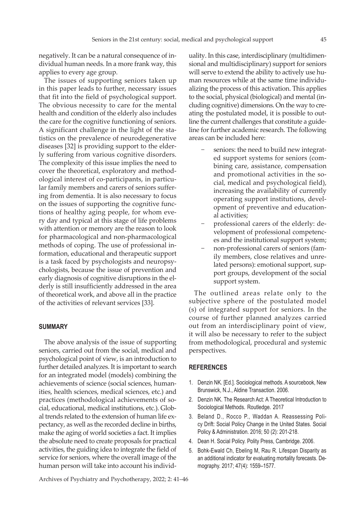negatively. It can be a natural consequence of individual human needs. In a more frank way, this applies to every age group.

The issues of supporting seniors taken up in this paper leads to further, necessary issues that fit into the field of psychological support. The obvious necessity to care for the mental health and condition of the elderly also includes the care for the cognitive functioning of seniors. A significant challenge in the light of the statistics on the prevalence of neurodegenerative diseases [32] is providing support to the elderly suffering from various cognitive disorders. The complexity of this issue implies the need to cover the theoretical, exploratory and methodological interest of co-participants, in particular family members and carers of seniors suffering from dementia. It is also necessary to focus on the issues of supporting the cognitive functions of healthy aging people, for whom every day and typical at this stage of life problems with attention or memory are the reason to look for pharmacological and non-pharmacological methods of coping. The use of professional information, educational and therapeutic support is a task faced by psychologists and neuropsychologists, because the issue of prevention and early diagnosis of cognitive disruptions in the elderly is still insufficiently addressed in the area of theoretical work, and above all in the practice of the activities of relevant services [33].

#### **SUMMARY**

The above analysis of the issue of supporting seniors, carried out from the social, medical and psychological point of view, is an introduction to further detailed analyzes. It is important to search for an integrated model (models) combining the achievements of science (social sciences, humanities, health sciences, medical sciences, etc.) and practices (methodological achievements of social, educational, medical institutions, etc.). Global trends related to the extension of human life expectancy, as well as the recorded decline in births, make the aging of world societies a fact. It implies the absolute need to create proposals for practical activities, the guiding idea to integrate the field of service for seniors, where the overall image of the human person will take into account his individ-

uality. In this case, interdisciplinary (multidimensional and multidisciplinary) support for seniors will serve to extend the ability to actively use human resources while at the same time individualizing the process of this activation. This applies to the social, physical (biological) and mental (including cognitive) dimensions. On the way to creating the postulated model, it is possible to outline the current challenges that constitute a guideline for further academic research. The following areas can be included here:

- seniors: the need to build new integrated support systems for seniors (combining care, assistance, compensation and promotional activities in the social, medical and psychological field), increasing the availability of currently operating support institutions, development of preventive and educational activities;
- − professional carers of the elderly: development of professional competences and the institutional support system;
- − non-professional carers of seniors (family members, close relatives and unrelated persons): emotional support, support groups, development of the social support system.

The outlined areas relate only to the subjective sphere of the postulated model (s) of integrated support for seniors. In the course of further planned analyzes carried out from an interdisciplinary point of view, it will also be necessary to refer to the subject from methodological, procedural and systemic perspectives.

#### **REFERENCES**

- 1. Denzin NK. [Ed.]. Sociological methods. A sourcebook, New Brunswick, N.J., Aldine Transaction. 2006.
- 2. Denzin NK. The Research Act: A Theoretical Introduction to Sociological Methods*.* Routledge*.* 2017
- 3. Beland D., Rocco P., Waddan A. Reassessing Policy Drift: Social Policy Change in the United States. Social Policy & Administration. 2016; 50 (2): 201-218.
- 4. Dean H. Social Policy. Polity Press, Cambridge. 2006.
- 5. Bohk-Ewald Ch, Ebeling M, Rau R. Lifespan Disparity as an additional indicator for evaluating mortality forecasts. Demography. 2017; 47(4): 1559–1577.

Archives of Psychiatry and Psychotherapy, 2022; 2: 41–46